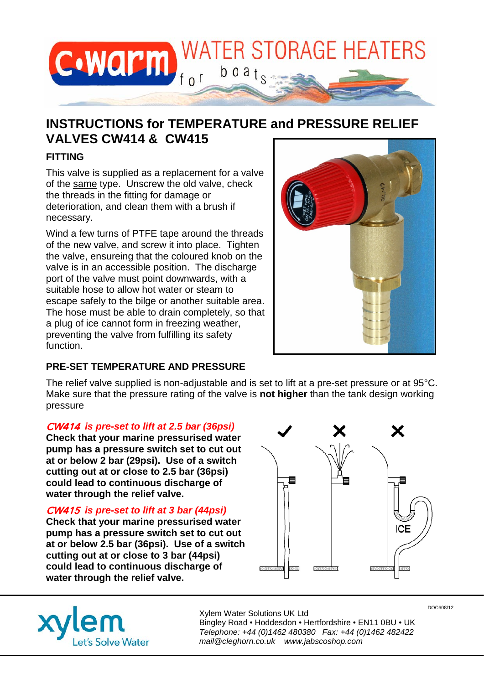

# **INSTRUCTIONS for TEMPERATURE and PRESSURE RELIEF VALVES CW414 & CW415**

## **FITTING**

This valve is supplied as a replacement for a valve of the same type. Unscrew the old valve, check the threads in the fitting for damage or deterioration, and clean them with a brush if necessary.

Wind a few turns of PTFE tape around the threads of the new valve, and screw it into place. Tighten the valve, ensureing that the coloured knob on the valve is in an accessible position. The discharge port of the valve must point downwards, with a suitable hose to allow hot water or steam to escape safely to the bilge or another suitable area. The hose must be able to drain completely, so that a plug of ice cannot form in freezing weather, preventing the valve from fulfilling its safety function.



## **PRE-SET TEMPERATURE AND PRESSURE**

The relief valve supplied is non-adjustable and is set to lift at a pre-set pressure or at 95°C. Make sure that the pressure rating of the valve is **not higher** than the tank design working pressure

#### CW414 *is pre-set to lift at 2.5 bar (36psi)*

**Check that your marine pressurised water pump has a pressure switch set to cut out at or below 2 bar (29psi). Use of a switch cutting out at or close to 2.5 bar (36psi) could lead to continuous discharge of water through the relief valve.**

### CW415 *is pre-set to lift at 3 bar (44psi)*

**Check that your marine pressurised water pump has a pressure switch set to cut out at or below 2.5 bar (36psi). Use of a switch cutting out at or close to 3 bar (44psi) could lead to continuous discharge of water through the relief valve.**



et's Solve Water

Xylem Water Solutions UK Ltd Bingley Road • Hoddesdon • Hertfordshire • EN11 0BU • UK *Telephone: +44 (0)1462 480380 Fax: +44 (0)1462 482422 mail@cleghorn.co.uk www.jabscoshop.com*

DOC608/12